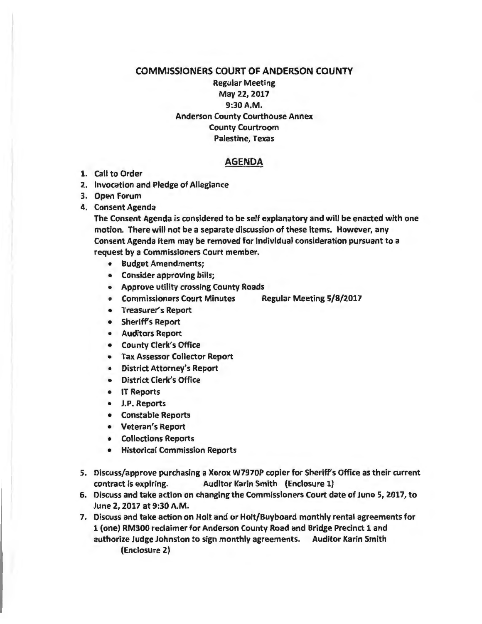## COMMISSIONERS COURT OF ANDERSON COUNTY Regular Meeting May 22, 2017 9:30A.M. Anderson County Courthouse Annex County Courtroom Palestine, Texas

## AGENDA

- 1. Call to Order
- 2. Invocation and Pledge of Allegiance
- 3. Open Forum
- 4. Consent Agenda

The Consent Agenda is considered to be self explanatory and will be enacted with one motion. There will not be a separate discussion of these items. However, any Consent Agenda item may be removed for individual consideration pursuant to a request by a Commissioners Court member.

- Budget Amendments;
- Consider approving bills;
- Approve utility crossing County Roads
- Commissioners Court Minutes Regular Meeting 5/8/2017
- Treasurer's Report
- Sheriff's Report
- Auditors Report
- County Clerk's Office
- Tax Assessor Collector Report
- District Attorney's Report
- District Clerk's Office
- IT Reports
- J.P. Reports
- Constable Reports
- Veteran's Report
- Collections Reports
- Historical Commission Reports
- 5. Discuss/approve purchasing a Xerox W7970P copier for Sheriffs Office as their current contract is expiring. Auditor Karin Smith (Enclosure 1}
- 6. Discuss and take action on changing the Commissioners Court date of June 5, 2017, to June 2, 2017 at 9:30 A.M.

7. Discuss and take action on Holt and or Holt/Buyboard monthly rental agreements for 1 (one} RM300 reclaimer for Anderson County Road and Bridge Precinct 1 and authorize Judge Johnston to sign monthly agreements. Auditor Karin Smith (Enclosure 2}